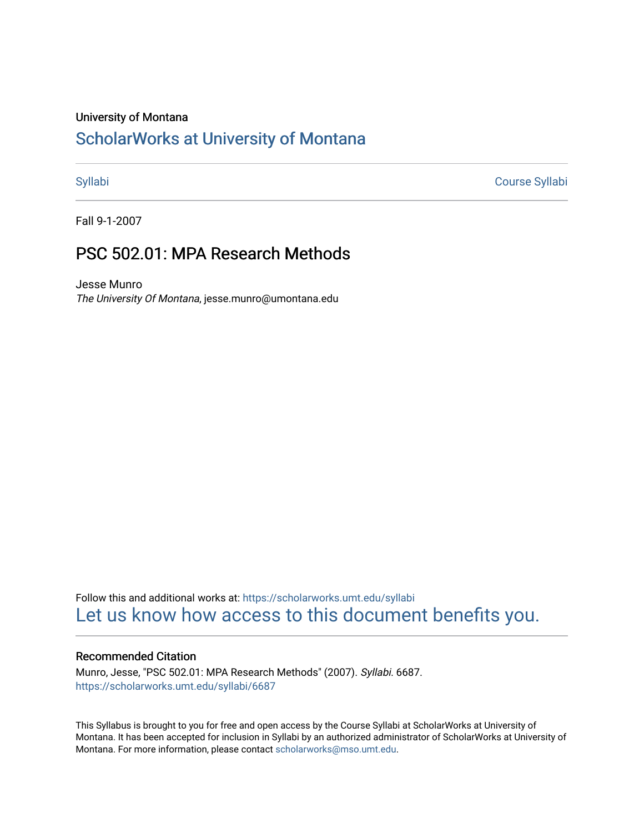#### University of Montana

# [ScholarWorks at University of Montana](https://scholarworks.umt.edu/)

[Syllabi](https://scholarworks.umt.edu/syllabi) [Course Syllabi](https://scholarworks.umt.edu/course_syllabi) 

Fall 9-1-2007

# PSC 502.01: MPA Research Methods

Jesse Munro The University Of Montana, jesse.munro@umontana.edu

Follow this and additional works at: [https://scholarworks.umt.edu/syllabi](https://scholarworks.umt.edu/syllabi?utm_source=scholarworks.umt.edu%2Fsyllabi%2F6687&utm_medium=PDF&utm_campaign=PDFCoverPages)  [Let us know how access to this document benefits you.](https://goo.gl/forms/s2rGfXOLzz71qgsB2) 

#### Recommended Citation

Munro, Jesse, "PSC 502.01: MPA Research Methods" (2007). Syllabi. 6687. [https://scholarworks.umt.edu/syllabi/6687](https://scholarworks.umt.edu/syllabi/6687?utm_source=scholarworks.umt.edu%2Fsyllabi%2F6687&utm_medium=PDF&utm_campaign=PDFCoverPages)

This Syllabus is brought to you for free and open access by the Course Syllabi at ScholarWorks at University of Montana. It has been accepted for inclusion in Syllabi by an authorized administrator of ScholarWorks at University of Montana. For more information, please contact [scholarworks@mso.umt.edu.](mailto:scholarworks@mso.umt.edu)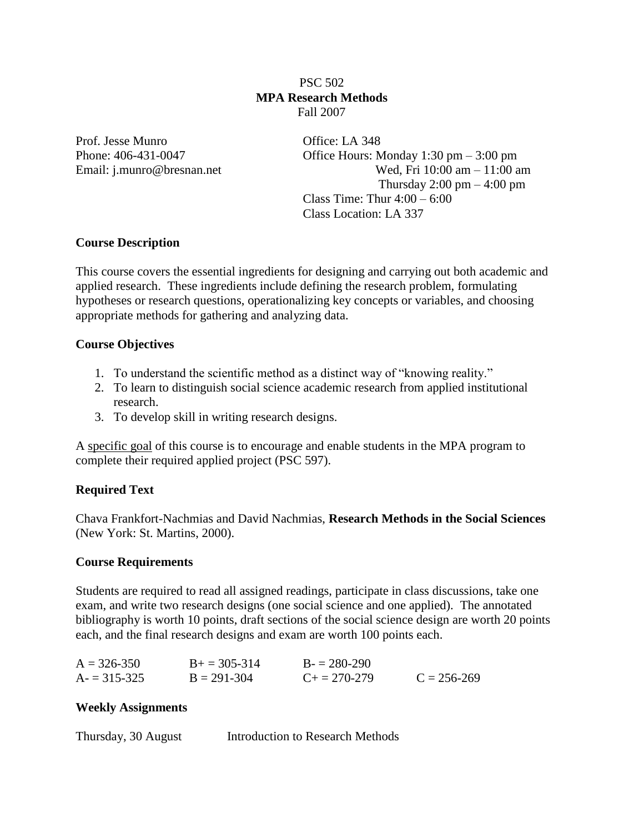PSC 502 **MPA Research Methods**  Fall 2007

Prof. Jesse Munro Office: LA 348

Phone: 406-431-0047 Office Hours: Monday 1:30 pm – 3:00 pm Email: j.munro@bresnan.net Wed, Fri 10:00 am – 11:00 am Thursday  $2:00 \text{ pm} - 4:00 \text{ pm}$ Class Time: Thur  $4:00 - 6:00$ Class Location: LA 337

## **Course Description**

This course covers the essential ingredients for designing and carrying out both academic and applied research. These ingredients include defining the research problem, formulating hypotheses or research questions, operationalizing key concepts or variables, and choosing appropriate methods for gathering and analyzing data.

### **Course Objectives**

- 1. To understand the scientific method as a distinct way of "knowing reality."
- 2. To learn to distinguish social science academic research from applied institutional research.
- 3. To develop skill in writing research designs.

A specific goal of this course is to encourage and enable students in the MPA program to complete their required applied project (PSC 597).

### **Required Text**

Chava Frankfort-Nachmias and David Nachmias, **Research Methods in the Social Sciences** (New York: St. Martins, 2000).

#### **Course Requirements**

Students are required to read all assigned readings, participate in class discussions, take one exam, and write two research designs (one social science and one applied). The annotated bibliography is worth 10 points, draft sections of the social science design are worth 20 points each, and the final research designs and exam are worth 100 points each.

| $A = 326 - 350$ | $B+=305-314$    | $B = 280-290$         |                 |
|-----------------|-----------------|-----------------------|-----------------|
| $A = 315 - 325$ | $B = 291 - 304$ | $C_{\pm} = 270 - 279$ | $C = 256 - 269$ |

#### **Weekly Assignments**

| Thursday, 30 August | Introduction to Research Methods |
|---------------------|----------------------------------|
|---------------------|----------------------------------|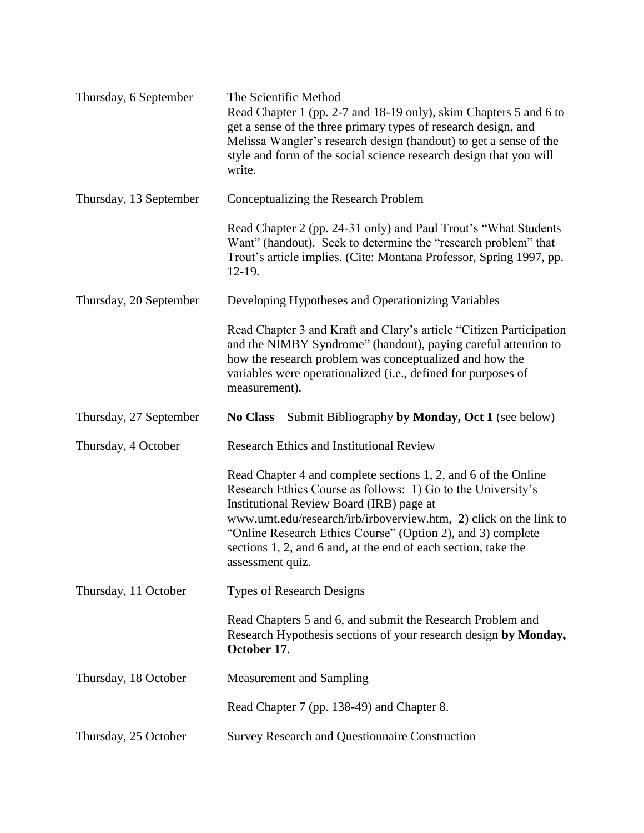| Thursday, 6 September  | The Scientific Method<br>Read Chapter 1 (pp. 2-7 and 18-19 only), skim Chapters 5 and 6 to<br>get a sense of the three primary types of research design, and<br>Melissa Wangler's research design (handout) to get a sense of the<br>style and form of the social science research design that you will<br>write.                                                                                    |
|------------------------|------------------------------------------------------------------------------------------------------------------------------------------------------------------------------------------------------------------------------------------------------------------------------------------------------------------------------------------------------------------------------------------------------|
| Thursday, 13 September | Conceptualizing the Research Problem                                                                                                                                                                                                                                                                                                                                                                 |
|                        | Read Chapter 2 (pp. 24-31 only) and Paul Trout's "What Students"<br>Want" (handout). Seek to determine the "research problem" that<br>Trout's article implies. (Cite: Montana Professor, Spring 1997, pp.<br>12-19.                                                                                                                                                                                  |
| Thursday, 20 September | Developing Hypotheses and Operationizing Variables                                                                                                                                                                                                                                                                                                                                                   |
|                        | Read Chapter 3 and Kraft and Clary's article "Citizen Participation"<br>and the NIMBY Syndrome" (handout), paying careful attention to<br>how the research problem was conceptualized and how the<br>variables were operationalized (i.e., defined for purposes of<br>measurement).                                                                                                                  |
| Thursday, 27 September | No Class – Submit Bibliography by Monday, Oct 1 (see below)                                                                                                                                                                                                                                                                                                                                          |
| Thursday, 4 October    | <b>Research Ethics and Institutional Review</b>                                                                                                                                                                                                                                                                                                                                                      |
|                        | Read Chapter 4 and complete sections 1, 2, and 6 of the Online<br>Research Ethics Course as follows: 1) Go to the University's<br>Institutional Review Board (IRB) page at<br>www.umt.edu/research/irb/irboverview.htm, 2) click on the link to<br>"Online Research Ethics Course" (Option 2), and 3) complete<br>sections 1, 2, and 6 and, at the end of each section, take the<br>assessment quiz. |
| Thursday, 11 October   | <b>Types of Research Designs</b>                                                                                                                                                                                                                                                                                                                                                                     |
|                        | Read Chapters 5 and 6, and submit the Research Problem and<br>Research Hypothesis sections of your research design by Monday,<br>October 17.                                                                                                                                                                                                                                                         |
| Thursday, 18 October   | <b>Measurement and Sampling</b>                                                                                                                                                                                                                                                                                                                                                                      |
|                        | Read Chapter 7 (pp. 138-49) and Chapter 8.                                                                                                                                                                                                                                                                                                                                                           |
| Thursday, 25 October   | <b>Survey Research and Questionnaire Construction</b>                                                                                                                                                                                                                                                                                                                                                |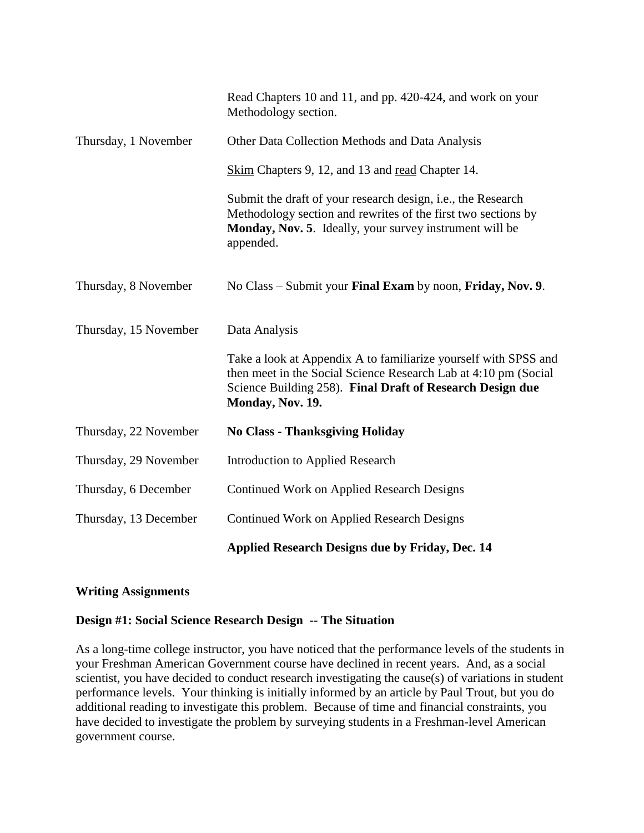|                       | Read Chapters 10 and 11, and pp. 420-424, and work on your<br>Methodology section.                                                                                                                                  |
|-----------------------|---------------------------------------------------------------------------------------------------------------------------------------------------------------------------------------------------------------------|
| Thursday, 1 November  | Other Data Collection Methods and Data Analysis                                                                                                                                                                     |
|                       | Skim Chapters 9, 12, and 13 and read Chapter 14.                                                                                                                                                                    |
|                       | Submit the draft of your research design, <i>i.e.</i> , the Research<br>Methodology section and rewrites of the first two sections by<br>Monday, Nov. 5. Ideally, your survey instrument will be<br>appended.       |
| Thursday, 8 November  | No Class – Submit your Final Exam by noon, Friday, Nov. 9.                                                                                                                                                          |
| Thursday, 15 November | Data Analysis                                                                                                                                                                                                       |
|                       | Take a look at Appendix A to familiarize yourself with SPSS and<br>then meet in the Social Science Research Lab at 4:10 pm (Social<br>Science Building 258). Final Draft of Research Design due<br>Monday, Nov. 19. |
| Thursday, 22 November | <b>No Class - Thanksgiving Holiday</b>                                                                                                                                                                              |
| Thursday, 29 November | <b>Introduction to Applied Research</b>                                                                                                                                                                             |
| Thursday, 6 December  | <b>Continued Work on Applied Research Designs</b>                                                                                                                                                                   |
| Thursday, 13 December | <b>Continued Work on Applied Research Designs</b>                                                                                                                                                                   |
|                       | <b>Applied Research Designs due by Friday, Dec. 14</b>                                                                                                                                                              |

# **Writing Assignments**

### **Design #1: Social Science Research Design -- The Situation**

As a long-time college instructor, you have noticed that the performance levels of the students in your Freshman American Government course have declined in recent years. And, as a social scientist, you have decided to conduct research investigating the cause(s) of variations in student performance levels. Your thinking is initially informed by an article by Paul Trout, but you do additional reading to investigate this problem. Because of time and financial constraints, you have decided to investigate the problem by surveying students in a Freshman-level American government course.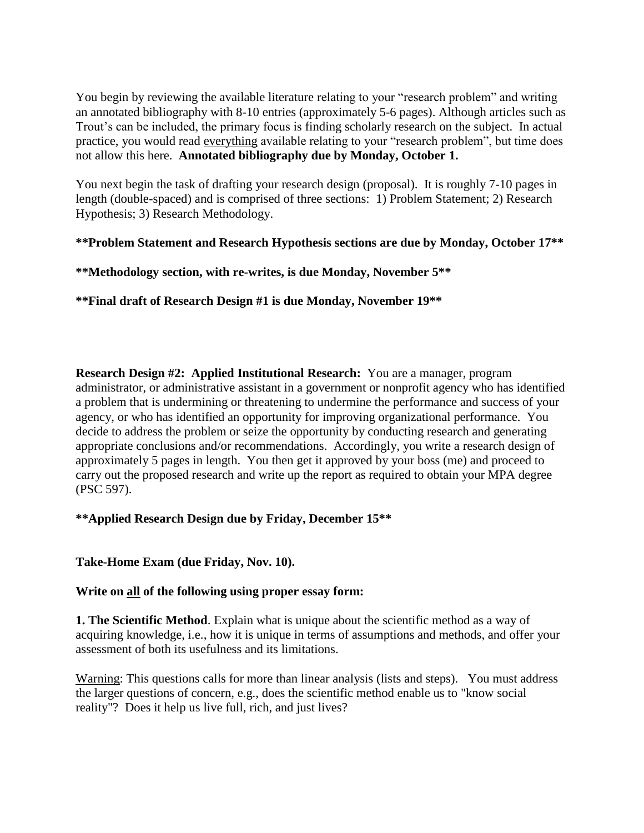You begin by reviewing the available literature relating to your "research problem" and writing an annotated bibliography with 8-10 entries (approximately 5-6 pages). Although articles such as Trout's can be included, the primary focus is finding scholarly research on the subject. In actual practice, you would read everything available relating to your "research problem", but time does not allow this here. **Annotated bibliography due by Monday, October 1.**

You next begin the task of drafting your research design (proposal). It is roughly 7-10 pages in length (double-spaced) and is comprised of three sections: 1) Problem Statement; 2) Research Hypothesis; 3) Research Methodology.

**\*\*Problem Statement and Research Hypothesis sections are due by Monday, October 17\*\***

**\*\*Methodology section, with re-writes, is due Monday, November 5\*\***

**\*\*Final draft of Research Design #1 is due Monday, November 19\*\***

**Research Design #2: Applied Institutional Research:** You are a manager, program administrator, or administrative assistant in a government or nonprofit agency who has identified a problem that is undermining or threatening to undermine the performance and success of your agency, or who has identified an opportunity for improving organizational performance. You decide to address the problem or seize the opportunity by conducting research and generating appropriate conclusions and/or recommendations. Accordingly, you write a research design of approximately 5 pages in length. You then get it approved by your boss (me) and proceed to carry out the proposed research and write up the report as required to obtain your MPA degree (PSC 597).

# **\*\*Applied Research Design due by Friday, December 15\*\***

# **Take-Home Exam (due Friday, Nov. 10).**

### **Write on all of the following using proper essay form:**

**1. The Scientific Method**. Explain what is unique about the scientific method as a way of acquiring knowledge, i.e., how it is unique in terms of assumptions and methods, and offer your assessment of both its usefulness and its limitations.

Warning: This questions calls for more than linear analysis (lists and steps). You must address the larger questions of concern, e.g., does the scientific method enable us to "know social reality"? Does it help us live full, rich, and just lives?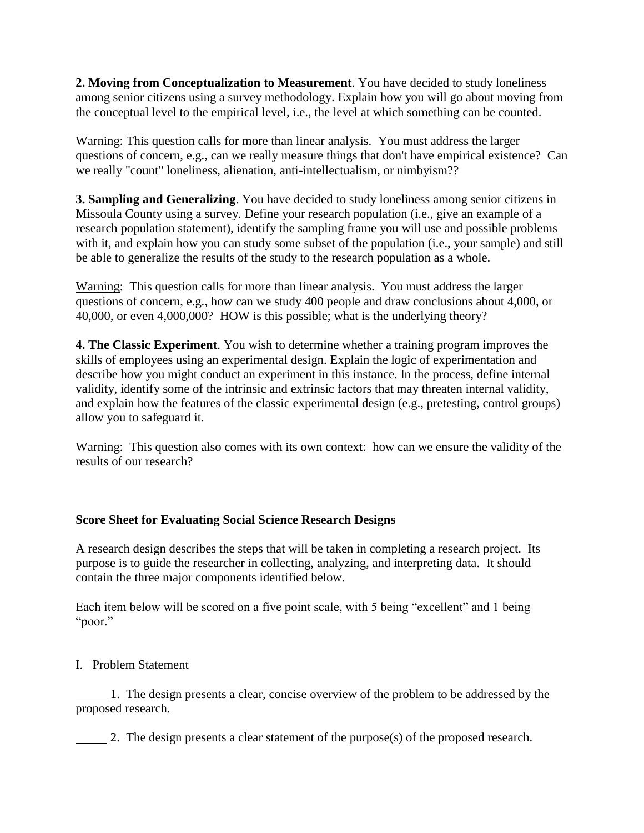**2. Moving from Conceptualization to Measurement**. You have decided to study loneliness among senior citizens using a survey methodology. Explain how you will go about moving from the conceptual level to the empirical level, i.e., the level at which something can be counted.

Warning: This question calls for more than linear analysis. You must address the larger questions of concern, e.g., can we really measure things that don't have empirical existence? Can we really "count" loneliness, alienation, anti-intellectualism, or nimbyism??

**3. Sampling and Generalizing**. You have decided to study loneliness among senior citizens in Missoula County using a survey. Define your research population (i.e., give an example of a research population statement), identify the sampling frame you will use and possible problems with it, and explain how you can study some subset of the population (i.e., your sample) and still be able to generalize the results of the study to the research population as a whole.

Warning: This question calls for more than linear analysis. You must address the larger questions of concern, e.g., how can we study 400 people and draw conclusions about 4,000, or 40,000, or even 4,000,000? HOW is this possible; what is the underlying theory?

**4. The Classic Experiment**. You wish to determine whether a training program improves the skills of employees using an experimental design. Explain the logic of experimentation and describe how you might conduct an experiment in this instance. In the process, define internal validity, identify some of the intrinsic and extrinsic factors that may threaten internal validity, and explain how the features of the classic experimental design (e.g., pretesting, control groups) allow you to safeguard it.

Warning: This question also comes with its own context: how can we ensure the validity of the results of our research?

# **Score Sheet for Evaluating Social Science Research Designs**

A research design describes the steps that will be taken in completing a research project. Its purpose is to guide the researcher in collecting, analyzing, and interpreting data. It should contain the three major components identified below.

Each item below will be scored on a five point scale, with 5 being "excellent" and 1 being "poor."

I. Problem Statement

 1. The design presents a clear, concise overview of the problem to be addressed by the proposed research.

2. The design presents a clear statement of the purpose(s) of the proposed research.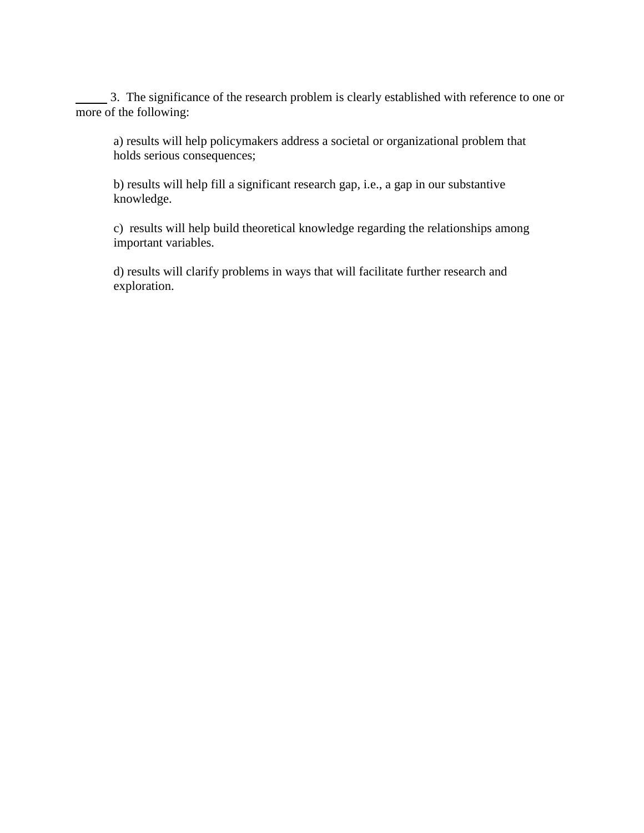3. The significance of the research problem is clearly established with reference to one or more of the following:

a) results will help policymakers address a societal or organizational problem that holds serious consequences;

b) results will help fill a significant research gap, i.e., a gap in our substantive knowledge.

c) results will help build theoretical knowledge regarding the relationships among important variables.

d) results will clarify problems in ways that will facilitate further research and exploration.